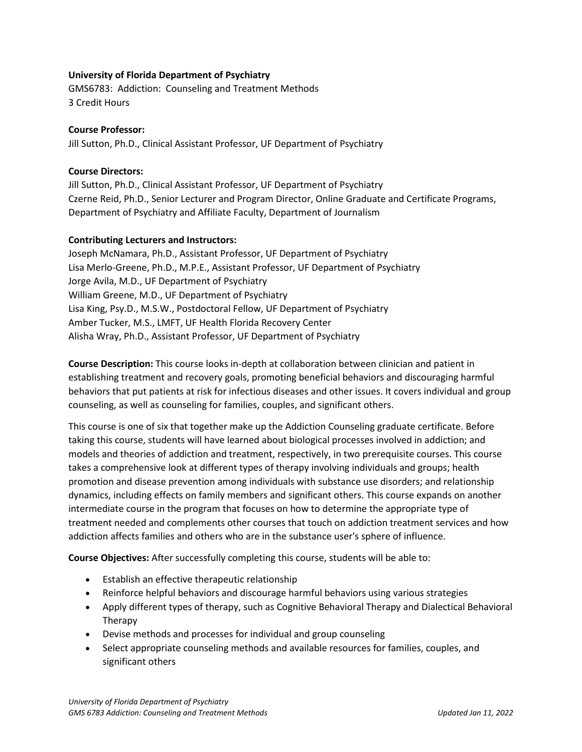# **University of Florida Department of Psychiatry**

GMS6783: Addiction: Counseling and Treatment Methods 3 Credit Hours

### **Course Professor:**

Jill Sutton, Ph.D., Clinical Assistant Professor, UF Department of Psychiatry

# **Course Directors:**

Jill Sutton, Ph.D., Clinical Assistant Professor, UF Department of Psychiatry Czerne Reid, Ph.D., Senior Lecturer and Program Director, Online Graduate and Certificate Programs, Department of Psychiatry and Affiliate Faculty, Department of Journalism

### **Contributing Lecturers and Instructors:**

Joseph McNamara, Ph.D., Assistant Professor, UF Department of Psychiatry Lisa Merlo-Greene, Ph.D., M.P.E., Assistant Professor, UF Department of Psychiatry Jorge Avila, M.D., UF Department of Psychiatry William Greene, M.D., UF Department of Psychiatry Lisa King, Psy.D., M.S.W., Postdoctoral Fellow, UF Department of Psychiatry Amber Tucker, M.S., LMFT, UF Health Florida Recovery Center Alisha Wray, Ph.D., Assistant Professor, UF Department of Psychiatry

**Course Description:** This course looks in-depth at collaboration between clinician and patient in establishing treatment and recovery goals, promoting beneficial behaviors and discouraging harmful behaviors that put patients at risk for infectious diseases and other issues. It covers individual and group counseling, as well as counseling for families, couples, and significant others.

This course is one of six that together make up the Addiction Counseling graduate certificate. Before taking this course, students will have learned about biological processes involved in addiction; and models and theories of addiction and treatment, respectively, in two prerequisite courses. This course takes a comprehensive look at different types of therapy involving individuals and groups; health promotion and disease prevention among individuals with substance use disorders; and relationship dynamics, including effects on family members and significant others. This course expands on another intermediate course in the program that focuses on how to determine the appropriate type of treatment needed and complements other courses that touch on addiction treatment services and how addiction affects families and others who are in the substance user's sphere of influence.

**Course Objectives:** After successfully completing this course, students will be able to:

- Establish an effective therapeutic relationship
- Reinforce helpful behaviors and discourage harmful behaviors using various strategies
- Apply different types of therapy, such as Cognitive Behavioral Therapy and Dialectical Behavioral Therapy
- Devise methods and processes for individual and group counseling
- Select appropriate counseling methods and available resources for families, couples, and significant others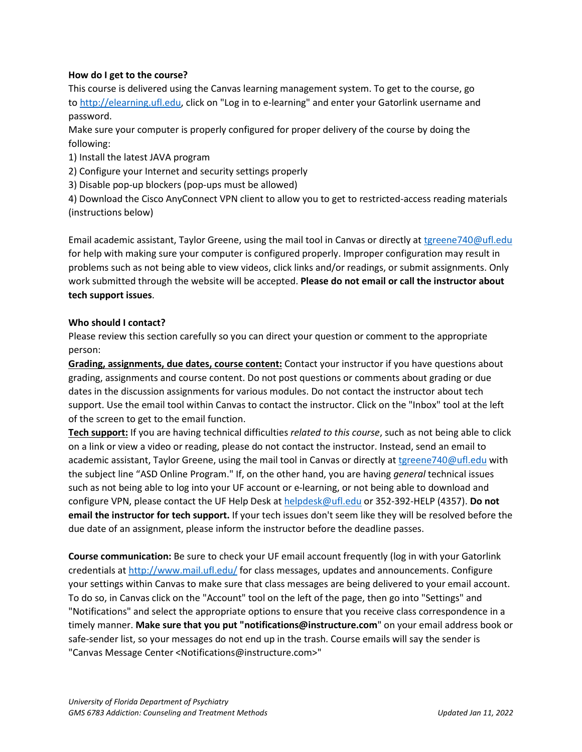# **How do I get to the course?**

This course is delivered using the Canvas learning management system. To get to the course, go to [http://elearning.ufl.edu,](http://elearning.ufl.edu/) click on "Log in to e-learning" and enter your Gatorlink username and password.

Make sure your computer is properly configured for proper delivery of the course by doing the following:

1) Install the latest JAVA program

2) Configure your Internet and security settings properly

3) Disable pop-up blockers (pop-ups must be allowed)

4) Download the Cisco AnyConnect VPN client to allow you to get to restricted-access reading materials (instructions below)

Email academic assistant, Taylor Greene, using the mail tool in Canvas or directly at [tgreene740@ufl.edu](mailto:tgreene740@ufl.edu) for help with making sure your computer is configured properly. Improper configuration may result in problems such as not being able to view videos, click links and/or readings, or submit assignments. Only work submitted through the website will be accepted. **Please do not email or call the instructor about tech support issues**.

### **Who should I contact?**

Please review this section carefully so you can direct your question or comment to the appropriate person:

**Grading, assignments, due dates, course content:** Contact your instructor if you have questions about grading, assignments and course content. Do not post questions or comments about grading or due dates in the discussion assignments for various modules. Do not contact the instructor about tech support. Use the email tool within Canvas to contact the instructor. Click on the "Inbox" tool at the left of the screen to get to the email function.

**Tech support:** If you are having technical difficulties *related to this course*, such as not being able to click on a link or view a video or reading, please do not contact the instructor. Instead, send an email to academic assistant, Taylor Greene, using the mail tool in Canvas or directly at [tgreene740@ufl.edu](mailto:tgreene740@ufl.edu) with the subject line "ASD Online Program." If, on the other hand, you are having *general* technical issues such as not being able to log into your UF account or e-learning, or not being able to download and configure VPN, please contact the UF Help Desk at [helpdesk@ufl.edu](mailto:helpdesk@ufl.edu) or 352-392-HELP (4357). **Do not email the instructor for tech support.** If your tech issues don't seem like they will be resolved before the due date of an assignment, please inform the instructor before the deadline passes.

**Course communication:** Be sure to check your UF email account frequently (log in with your Gatorlink credentials at [http://www.mail.ufl.edu/](http://www.mail.ufl.edu/)) for class messages, updates and announcements. Configure your settings within Canvas to make sure that class messages are being delivered to your email account. To do so, in Canvas click on the "Account" tool on the left of the page, then go into "Settings" and "Notifications" and select the appropriate options to ensure that you receive class correspondence in a timely manner. **Make sure that you put "notifications@instructure.com**" on your email address book or safe-sender list, so your messages do not end up in the trash. Course emails will say the sender is "Canvas Message Center <Notifications@instructure.com>"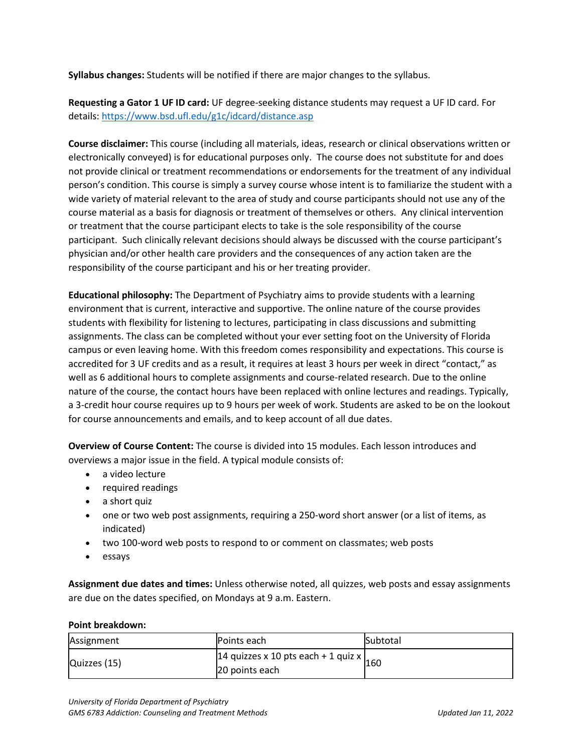**Syllabus changes:** Students will be notified if there are major changes to the syllabus.

**Requesting a Gator 1 UF ID card:** UF degree-seeking distance students may request a UF ID card. For details:<https://www.bsd.ufl.edu/g1c/idcard/distance.asp>

**Course disclaimer:** This course (including all materials, ideas, research or clinical observations written or electronically conveyed) is for educational purposes only. The course does not substitute for and does not provide clinical or treatment recommendations or endorsements for the treatment of any individual person's condition. This course is simply a survey course whose intent is to familiarize the student with a wide variety of material relevant to the area of study and course participants should not use any of the course material as a basis for diagnosis or treatment of themselves or others. Any clinical intervention or treatment that the course participant elects to take is the sole responsibility of the course participant. Such clinically relevant decisions should always be discussed with the course participant's physician and/or other health care providers and the consequences of any action taken are the responsibility of the course participant and his or her treating provider.

**Educational philosophy:** The Department of Psychiatry aims to provide students with a learning environment that is current, interactive and supportive. The online nature of the course provides students with flexibility for listening to lectures, participating in class discussions and submitting assignments. The class can be completed without your ever setting foot on the University of Florida campus or even leaving home. With this freedom comes responsibility and expectations. This course is accredited for 3 UF credits and as a result, it requires at least 3 hours per week in direct "contact," as well as 6 additional hours to complete assignments and course-related research. Due to the online nature of the course, the contact hours have been replaced with online lectures and readings. Typically, a 3-credit hour course requires up to 9 hours per week of work. Students are asked to be on the lookout for course announcements and emails, and to keep account of all due dates.

**Overview of Course Content:** The course is divided into 15 modules. Each lesson introduces and overviews a major issue in the field. A typical module consists of:

- a video lecture
- required readings
- a short quiz
- one or two web post assignments, requiring a 250-word short answer (or a list of items, as indicated)
- two 100-word web posts to respond to or comment on classmates; web posts
- essays

**Assignment due dates and times:** Unless otherwise noted, all quizzes, web posts and essay assignments are due on the dates specified, on Mondays at 9 a.m. Eastern.

#### **Point breakdown:**

| Assignment   | <b>Points each</b>                                                    | <b>Subtotal</b> |
|--------------|-----------------------------------------------------------------------|-----------------|
| Quizzes (15) | $14$ quizzes x 10 pts each + 1 quiz x $\vert_{160}$<br>20 points each |                 |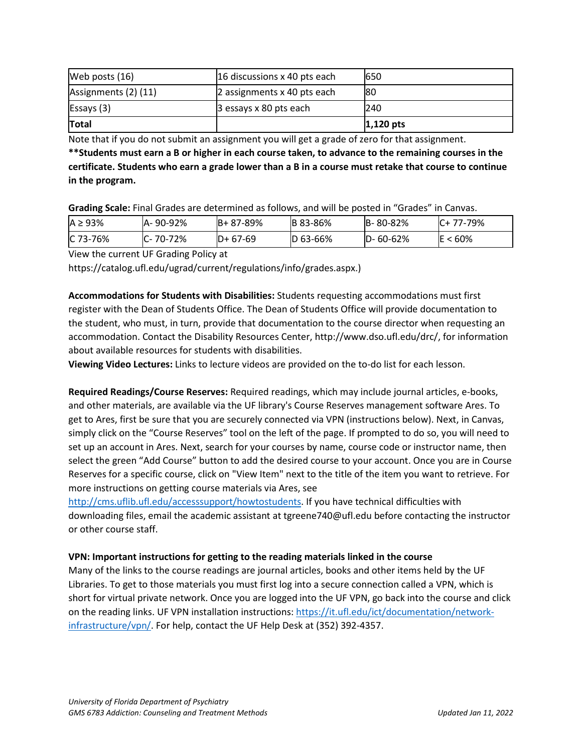| Web posts $(16)$     | 16 discussions x 40 pts each | 650          |
|----------------------|------------------------------|--------------|
| Assignments (2) (11) | 2 assignments x 40 pts each  | 180          |
| Essays(3)            | 3 essays x 80 pts each       | 240          |
| <b>Total</b>         |                              | $ 1,120$ pts |

Note that if you do not submit an assignment you will get a grade of zero for that assignment.

**\*\*Students must earn a B or higher in each course taken, to advance to the remaining courses in the certificate. Students who earn a grade lower than a B in a course must retake that course to continue in the program.**

**Grading Scale:** Final Grades are determined as follows, and will be posted in "Grades" in Canvas.

| $A \geq 93\%$ | A- 90-92%      | $B + 87 - 89%$ | <b>B</b> 83-86% | B-80-82%       | $IC+ 77-79\%$ |
|---------------|----------------|----------------|-----------------|----------------|---------------|
| $IC$ 73-76%   | $C - 70 - 72%$ | $D+67-69$      | $ D 63 - 66%$   | $D - 60 - 62%$ | $<60\%$<br>ΙE |

View the current UF Grading Policy at

https://catalog.ufl.edu/ugrad/current/regulations/info/grades.aspx.)

**Accommodations for Students with Disabilities:** Students requesting accommodations must first register with the Dean of Students Office. The Dean of Students Office will provide documentation to the student, who must, in turn, provide that documentation to the course director when requesting an accommodation. Contact the Disability Resources Center, http://www.dso.ufl.edu/drc/, for information about available resources for students with disabilities.

**Viewing Video Lectures:** Links to lecture videos are provided on the to-do list for each lesson.

**Required Readings/Course Reserves:** Required readings, which may include journal articles, e-books, and other materials, are available via the UF library's Course Reserves management software Ares. To get to Ares, first be sure that you are securely connected via VPN (instructions below). Next, in Canvas, simply click on the "Course Reserves" tool on the left of the page. If prompted to do so, you will need to set up an account in Ares. Next, search for your courses by name, course code or instructor name, then select the green "Add Course" button to add the desired course to your account. Once you are in Course Reserves for a specific course, click on "View Item" next to the title of the item you want to retrieve. For more instructions on getting course materials via Ares, see

[http://cms.uflib.ufl.edu/accesssupport/howtostudents.](http://cms.uflib.ufl.edu/accesssupport/howtostudents) If you have technical difficulties with downloading files, email the academic assistant at tgreene740@ufl.edu before contacting the instructor or other course staff.

#### **VPN: Important instructions for getting to the reading materials linked in the course**

Many of the links to the course readings are journal articles, books and other items held by the UF Libraries. To get to those materials you must first log into a secure connection called a VPN, which is short for virtual private network. Once you are logged into the UF VPN, go back into the course and click on the reading links. UF VPN installation instructions[: https://it.ufl.edu/ict/documentation/network](https://it.ufl.edu/ict/documentation/network-infrastructure/vpn/)[infrastructure/vpn/.](https://it.ufl.edu/ict/documentation/network-infrastructure/vpn/) For help, contact the UF Help Desk at (352) 392-4357.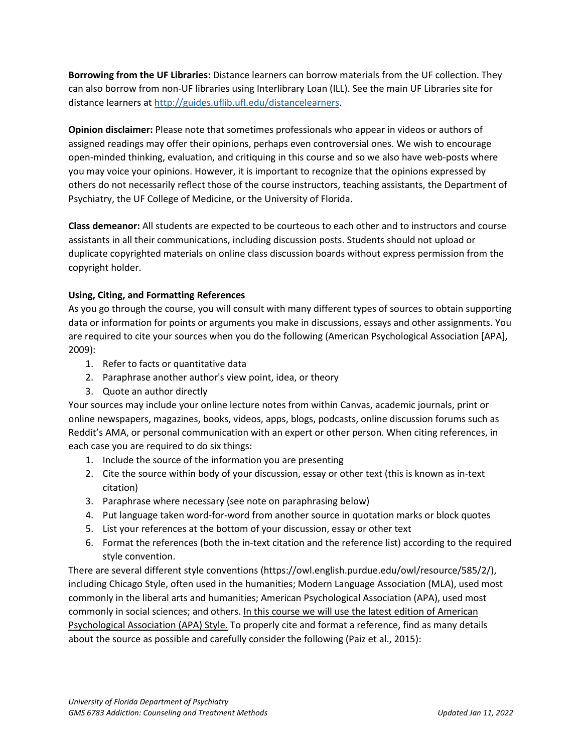**Borrowing from the UF Libraries:** Distance learners can borrow materials from the UF collection. They can also borrow from non-UF libraries using Interlibrary Loan (ILL). See the main UF Libraries site for distance learners at [http://guides.uflib.ufl.edu/distancelearners.](http://guides.uflib.ufl.edu/distancelearners)

**Opinion disclaimer:** Please note that sometimes professionals who appear in videos or authors of assigned readings may offer their opinions, perhaps even controversial ones. We wish to encourage open-minded thinking, evaluation, and critiquing in this course and so we also have web-posts where you may voice your opinions. However, it is important to recognize that the opinions expressed by others do not necessarily reflect those of the course instructors, teaching assistants, the Department of Psychiatry, the UF College of Medicine, or the University of Florida.

**Class demeanor:** All students are expected to be courteous to each other and to instructors and course assistants in all their communications, including discussion posts. Students should not upload or duplicate copyrighted materials on online class discussion boards without express permission from the copyright holder.

# **Using, Citing, and Formatting References**

As you go through the course, you will consult with many different types of sources to obtain supporting data or information for points or arguments you make in discussions, essays and other assignments. You are required to cite your sources when you do the following (American Psychological Association [APA], 2009):

- 1. Refer to facts or quantitative data
- 2. Paraphrase another author's view point, idea, or theory
- 3. Quote an author directly

Your sources may include your online lecture notes from within Canvas, academic journals, print or online newspapers, magazines, books, videos, apps, blogs, podcasts, online discussion forums such as Reddit's AMA, or personal communication with an expert or other person. When citing references, in each case you are required to do six things:

- 1. Include the source of the information you are presenting
- 2. Cite the source within body of your discussion, essay or other text (this is known as in-text citation)
- 3. Paraphrase where necessary (see note on paraphrasing below)
- 4. Put language taken word-for-word from another source in quotation marks or block quotes
- 5. List your references at the bottom of your discussion, essay or other text
- 6. Format the references (both the in-text citation and the reference list) according to the required style convention.

There are several different style conventions (https://owl.english.purdue.edu/owl/resource/585/2/), including Chicago Style, often used in the humanities; Modern Language Association (MLA), used most commonly in the liberal arts and humanities; American Psychological Association (APA), used most commonly in social sciences; and others. In this course we will use the latest edition of American Psychological Association (APA) Style. To properly cite and format a reference, find as many details about the source as possible and carefully consider the following (Paiz et al., 2015):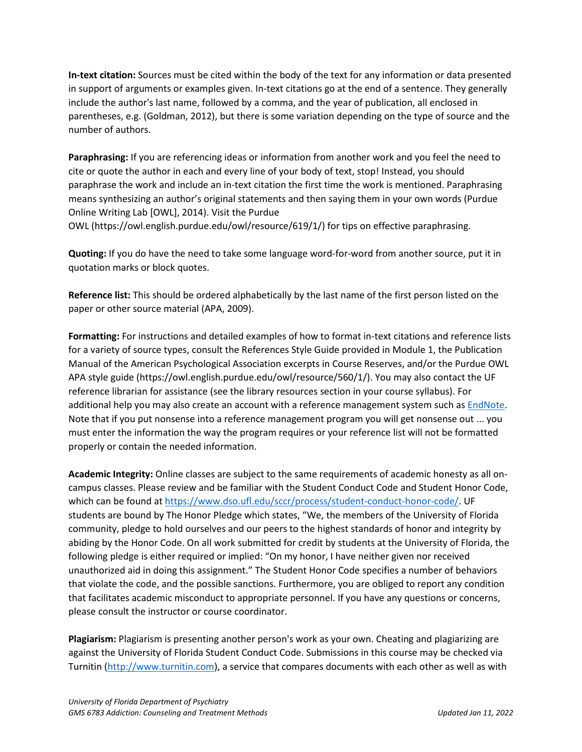**In-text citation:** Sources must be cited within the body of the text for any information or data presented in support of arguments or examples given. In-text citations go at the end of a sentence. They generally include the author's last name, followed by a comma, and the year of publication, all enclosed in parentheses, e.g. (Goldman, 2012), but there is some variation depending on the type of source and the number of authors.

**Paraphrasing:** If you are referencing ideas or information from another work and you feel the need to cite or quote the author in each and every line of your body of text, stop! Instead, you should paraphrase the work and include an in-text citation the first time the work is mentioned. Paraphrasing means synthesizing an author's original statements and then saying them in your own words (Purdue Online Writing Lab [OWL], 2014). Visit the Purdue OWL (https://owl.english.purdue.edu/owl/resource/619/1/) for tips on effective paraphrasing.

**Quoting:** If you do have the need to take some language word-for-word from another source, put it in quotation marks or block quotes.

**Reference list:** This should be ordered alphabetically by the last name of the first person listed on the paper or other source material (APA, 2009).

**Formatting:** For instructions and detailed examples of how to format in-text citations and reference lists for a variety of source types, consult the References Style Guide provided in Module 1, the Publication Manual of the American Psychological Association excerpts in Course Reserves, and/or the Purdue OWL APA style guide (https://owl.english.purdue.edu/owl/resource/560/1/). You may also contact the UF reference librarian for assistance (see the library resources section in your course syllabus). For additional help you may also create an account with a reference management system such as [EndNote.](https://guides.uflib.ufl.edu/endnote) Note that if you put nonsense into a reference management program you will get nonsense out ... you must enter the information the way the program requires or your reference list will not be formatted properly or contain the needed information.

**Academic Integrity:** Online classes are subject to the same requirements of academic honesty as all oncampus classes. Please review and be familiar with the Student Conduct Code and Student Honor Code, which can be found a[t https://www.dso.ufl.edu/sccr/process/student-conduct-honor-code/.](https://www.dso.ufl.edu/sccr/process/student-conduct-honor-code/) UF students are bound by The Honor Pledge which states, "We, the members of the University of Florida community, pledge to hold ourselves and our peers to the highest standards of honor and integrity by abiding by the Honor Code. On all work submitted for credit by students at the University of Florida, the following pledge is either required or implied: "On my honor, I have neither given nor received unauthorized aid in doing this assignment." The Student Honor Code specifies a number of behaviors that violate the code, and the possible sanctions. Furthermore, you are obliged to report any condition that facilitates academic misconduct to appropriate personnel. If you have any questions or concerns, please consult the instructor or course coordinator.

**Plagiarism:** Plagiarism is presenting another person's work as your own. Cheating and plagiarizing are against the University of Florida Student Conduct Code. Submissions in this course may be checked via Turnitin [\(http://www.turnitin.com\)](http://www.turnitin.com/), a service that compares documents with each other as well as with